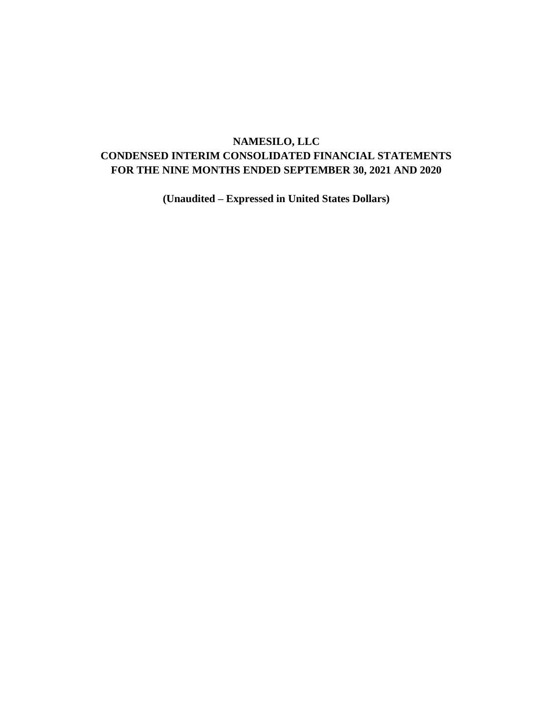# **NAMESILO, LLC CONDENSED INTERIM CONSOLIDATED FINANCIAL STATEMENTS FOR THE NINE MONTHS ENDED SEPTEMBER 30, 2021 AND 2020**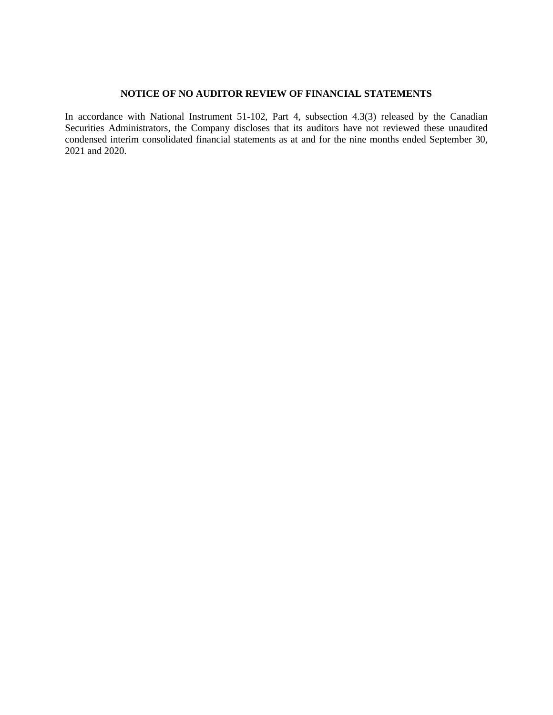## **NOTICE OF NO AUDITOR REVIEW OF FINANCIAL STATEMENTS**

In accordance with National Instrument 51-102, Part 4, subsection 4.3(3) released by the Canadian Securities Administrators, the Company discloses that its auditors have not reviewed these unaudited condensed interim consolidated financial statements as at and for the nine months ended September 30, 2021 and 2020.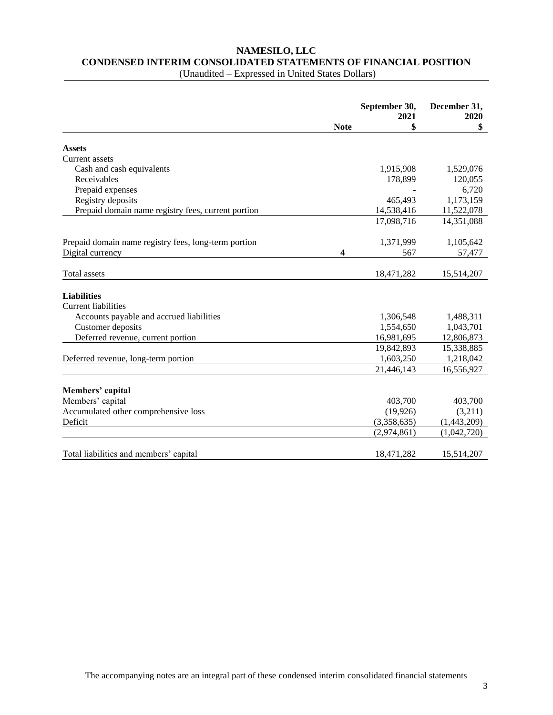# **NAMESILO, LLC CONDENSED INTERIM CONSOLIDATED STATEMENTS OF FINANCIAL POSITION**

|                                                      |             | September 30,<br>2021 | December 31,<br>2020 |
|------------------------------------------------------|-------------|-----------------------|----------------------|
|                                                      | <b>Note</b> | \$                    | \$                   |
| <b>Assets</b>                                        |             |                       |                      |
| Current assets                                       |             |                       |                      |
| Cash and cash equivalents                            |             | 1,915,908             | 1,529,076            |
| Receivables                                          |             | 178,899               | 120,055              |
| Prepaid expenses                                     |             |                       | 6,720                |
| Registry deposits                                    |             | 465,493               | 1,173,159            |
| Prepaid domain name registry fees, current portion   |             | 14,538,416            | 11,522,078           |
|                                                      |             | 17,098,716            | 14,351,088           |
| Prepaid domain name registry fees, long-term portion |             | 1,371,999             | 1,105,642            |
| Digital currency                                     | 4           | 567                   | 57,477               |
| Total assets                                         |             | 18,471,282            | 15,514,207           |
| <b>Liabilities</b>                                   |             |                       |                      |
| <b>Current liabilities</b>                           |             |                       |                      |
| Accounts payable and accrued liabilities             |             | 1,306,548             | 1,488,311            |
| Customer deposits                                    |             | 1,554,650             | 1,043,701            |
| Deferred revenue, current portion                    |             | 16,981,695            | 12,806,873           |
|                                                      |             | 19,842,893            | 15,338,885           |
| Deferred revenue, long-term portion                  |             | 1,603,250             | 1,218,042            |
|                                                      |             | 21,446,143            | 16,556,927           |
| Members' capital                                     |             |                       |                      |
| Members' capital                                     |             | 403,700               | 403,700              |
| Accumulated other comprehensive loss                 |             | (19, 926)             | (3,211)              |
| Deficit                                              |             | (3,358,635)           | (1,443,209)          |
|                                                      |             | (2,974,861)           | (1,042,720)          |
|                                                      |             |                       |                      |
| Total liabilities and members' capital               |             | 18,471,282            | 15,514,207           |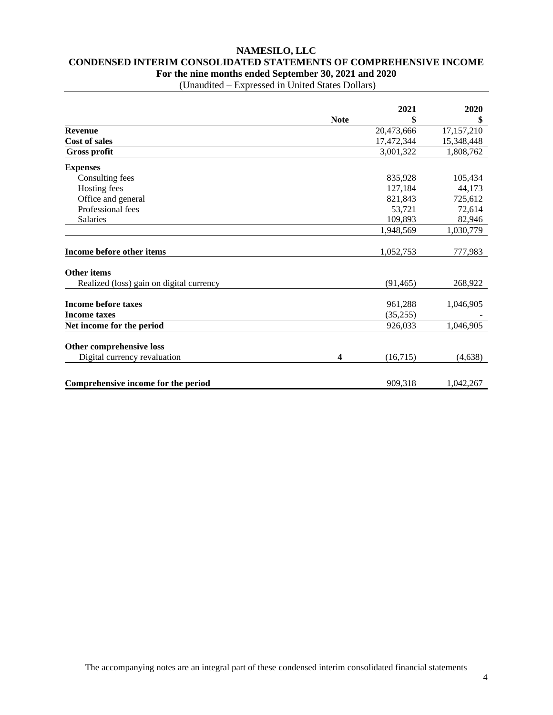## **NAMESILO, LLC CONDENSED INTERIM CONSOLIDATED STATEMENTS OF COMPREHENSIVE INCOME For the nine months ended September 30, 2021 and 2020**

|                                          |             | 2021       | 2020       |
|------------------------------------------|-------------|------------|------------|
|                                          | <b>Note</b> |            | \$         |
| <b>Revenue</b>                           |             | 20,473,666 | 17,157,210 |
| <b>Cost of sales</b>                     |             | 17,472,344 | 15,348,448 |
| Gross profit                             |             | 3,001,322  | 1,808,762  |
| <b>Expenses</b>                          |             |            |            |
| Consulting fees                          |             | 835,928    | 105,434    |
| Hosting fees                             |             | 127,184    | 44,173     |
| Office and general                       |             | 821,843    | 725,612    |
| Professional fees                        |             | 53,721     | 72,614     |
| <b>Salaries</b>                          |             | 109,893    | 82,946     |
|                                          |             | 1,948,569  | 1,030,779  |
|                                          |             |            |            |
| Income before other items                |             | 1,052,753  | 777,983    |
| <b>Other items</b>                       |             |            |            |
| Realized (loss) gain on digital currency |             | (91, 465)  | 268,922    |
|                                          |             |            |            |
| <b>Income before taxes</b>               |             | 961,288    | 1,046,905  |
| <b>Income taxes</b>                      |             | (35,255)   |            |
| Net income for the period                |             | 926,033    | 1,046,905  |
| Other comprehensive loss                 |             |            |            |
| Digital currency revaluation             | 4           | (16,715)   | (4,638)    |
| Comprehensive income for the period      |             | 909,318    | 1,042,267  |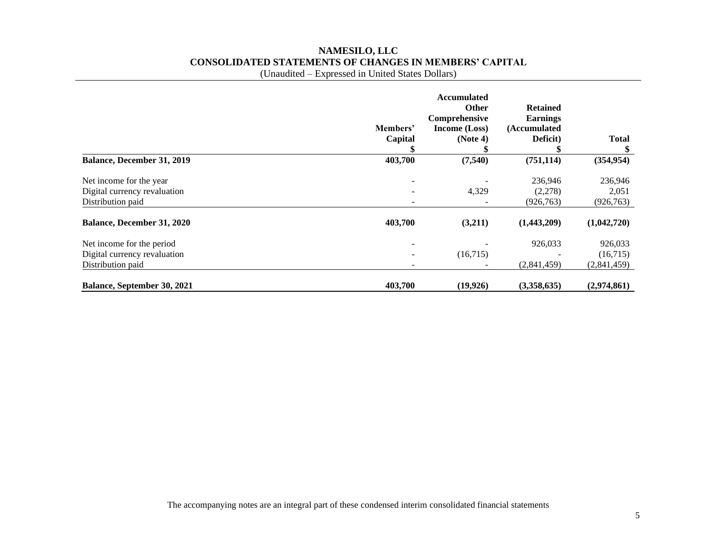# **NAMESILO, LLC CONSOLIDATED STATEMENTS OF CHANGES IN MEMBERS' CAPITAL**

(Unaudited – Expressed in United States Dollars)

|                                   | Members'<br>Capital | <b>Accumulated</b><br><b>Other</b><br>Comprehensive<br>Income (Loss)<br>(Note 4) | <b>Retained</b><br><b>Earnings</b><br>(Accumulated<br>Deficit) | <b>Total</b> |
|-----------------------------------|---------------------|----------------------------------------------------------------------------------|----------------------------------------------------------------|--------------|
|                                   |                     |                                                                                  |                                                                |              |
| Balance, December 31, 2019        | 403,700             | (7,540)                                                                          | (751, 114)                                                     | (354, 954)   |
| Net income for the year           |                     |                                                                                  | 236,946                                                        | 236,946      |
| Digital currency revaluation      |                     | 4,329                                                                            | (2,278)                                                        | 2,051        |
| Distribution paid                 |                     |                                                                                  | (926, 763)                                                     | (926, 763)   |
| <b>Balance, December 31, 2020</b> | 403,700             | (3,211)                                                                          | (1,443,209)                                                    | (1,042,720)  |
| Net income for the period         |                     |                                                                                  | 926,033                                                        | 926,033      |
| Digital currency revaluation      |                     | (16,715)                                                                         |                                                                | (16,715)     |
| Distribution paid                 |                     |                                                                                  | (2,841,459)                                                    | (2,841,459)  |
| Balance, September 30, 2021       | 403,700             | (19, 926)                                                                        | (3,358,635)                                                    | (2,974,861)  |

The accompanying notes are an integral part of these condensed interim consolidated financial statements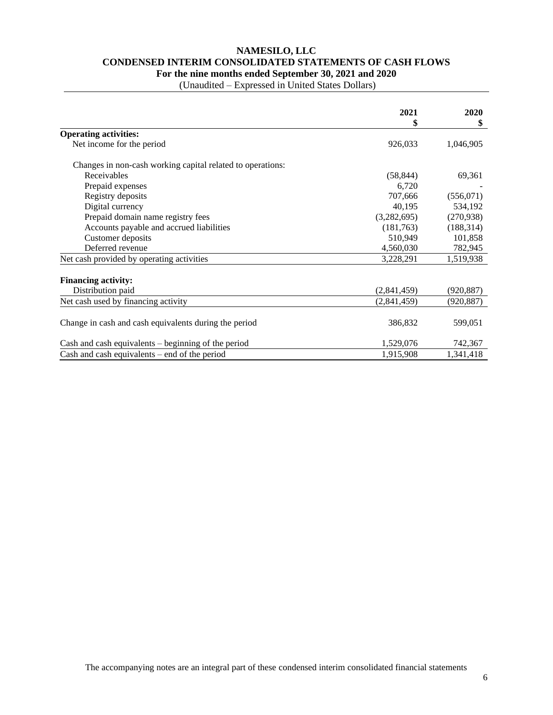## **NAMESILO, LLC CONDENSED INTERIM CONSOLIDATED STATEMENTS OF CASH FLOWS For the nine months ended September 30, 2021 and 2020**

|                                                            | 2021<br>\$  | 2020<br>\$ |
|------------------------------------------------------------|-------------|------------|
| <b>Operating activities:</b>                               |             |            |
| Net income for the period                                  | 926,033     | 1,046,905  |
| Changes in non-cash working capital related to operations: |             |            |
| Receivables                                                | (58, 844)   | 69,361     |
| Prepaid expenses                                           | 6,720       |            |
| Registry deposits                                          | 707,666     | (556,071)  |
| Digital currency                                           | 40,195      | 534,192    |
| Prepaid domain name registry fees                          | (3,282,695) | (270, 938) |
| Accounts payable and accrued liabilities                   | (181,763)   | (188, 314) |
| Customer deposits                                          | 510,949     | 101,858    |
| Deferred revenue                                           | 4,560,030   | 782,945    |
| Net cash provided by operating activities                  | 3,228,291   | 1,519,938  |
| <b>Financing activity:</b>                                 |             |            |
| Distribution paid                                          | (2,841,459) | (920, 887) |
| Net cash used by financing activity                        | (2,841,459) | (920, 887) |
| Change in cash and cash equivalents during the period      | 386,832     | 599,051    |
| Cash and cash equivalents – beginning of the period        | 1,529,076   | 742,367    |
| Cash and cash equivalents $-$ end of the period            | 1,915,908   | 1,341,418  |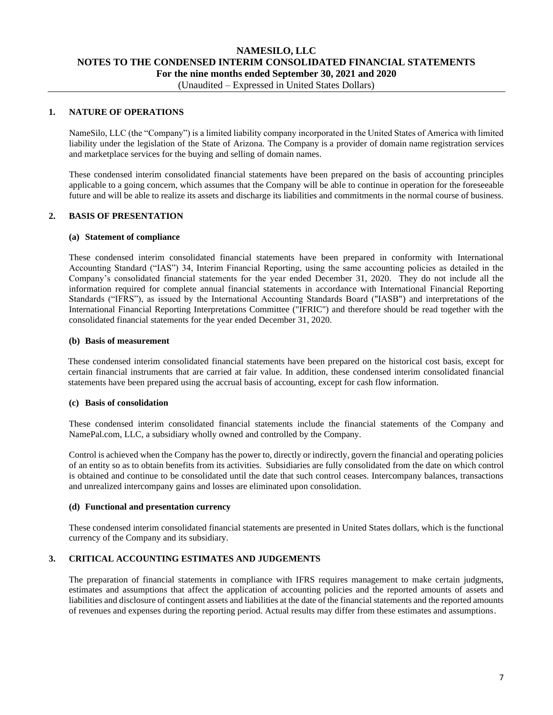# **NAMESILO, LLC NOTES TO THE CONDENSED INTERIM CONSOLIDATED FINANCIAL STATEMENTS For the nine months ended September 30, 2021 and 2020**

# (Unaudited – Expressed in United States Dollars)

## **1. NATURE OF OPERATIONS**

NameSilo, LLC (the "Company") is a limited liability company incorporated in the United States of America with limited liability under the legislation of the State of Arizona. The Company is a provider of domain name registration services and marketplace services for the buying and selling of domain names.

These condensed interim consolidated financial statements have been prepared on the basis of accounting principles applicable to a going concern, which assumes that the Company will be able to continue in operation for the foreseeable future and will be able to realize its assets and discharge its liabilities and commitments in the normal course of business.

## **2. BASIS OF PRESENTATION**

#### **(a) Statement of compliance**

These condensed interim consolidated financial statements have been prepared in conformity with International Accounting Standard ("IAS") 34, Interim Financial Reporting, using the same accounting policies as detailed in the Company's consolidated financial statements for the year ended December 31, 2020. They do not include all the information required for complete annual financial statements in accordance with International Financial Reporting Standards ("IFRS"), as issued by the International Accounting Standards Board ("IASB") and interpretations of the International Financial Reporting Interpretations Committee ("IFRIC") and therefore should be read together with the consolidated financial statements for the year ended December 31, 2020.

#### **(b) Basis of measurement**

These condensed interim consolidated financial statements have been prepared on the historical cost basis, except for certain financial instruments that are carried at fair value. In addition, these condensed interim consolidated financial statements have been prepared using the accrual basis of accounting, except for cash flow information.

#### **(c) Basis of consolidation**

These condensed interim consolidated financial statements include the financial statements of the Company and NamePal.com, LLC, a subsidiary wholly owned and controlled by the Company.

Control is achieved when the Company has the power to, directly or indirectly, govern the financial and operating policies of an entity so as to obtain benefits from its activities. Subsidiaries are fully consolidated from the date on which control is obtained and continue to be consolidated until the date that such control ceases. Intercompany balances, transactions and unrealized intercompany gains and losses are eliminated upon consolidation.

### **(d) Functional and presentation currency**

These condensed interim consolidated financial statements are presented in United States dollars, which is the functional currency of the Company and its subsidiary.

## **3. CRITICAL ACCOUNTING ESTIMATES AND JUDGEMENTS**

The preparation of financial statements in compliance with IFRS requires management to make certain judgments, estimates and assumptions that affect the application of accounting policies and the reported amounts of assets and liabilities and disclosure of contingent assets and liabilities at the date of the financial statements and the reported amounts of revenues and expenses during the reporting period. Actual results may differ from these estimates and assumptions.